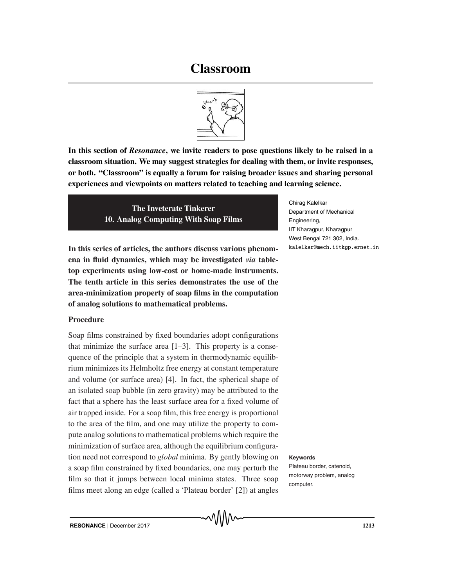# **Classroom**



**In this section of** *Resonance***, we invite readers to pose questions likely to be raised in a classroom situation. We may suggest strategies for dealing with them, or invite responses, or both. "Classroom" is equally a forum for raising broader issues and sharing personal experiences and viewpoints on matters related to teaching and learning science.**

> **The Inveterate Tinkerer 10. Analog Computing With Soap Films**

**In this series of articles, the authors discuss various phenomena in fluid dynamics, which may be investigated** *via* **tabletop experiments using low-cost or home-made instruments. The tenth article in this series demonstrates the use of the area-minimization property of soap films in the computation of analog solutions to mathematical problems.**

# **Procedure**

Soap films constrained by fixed boundaries adopt configurations that minimize the surface area [1–3]. This property is a consequence of the principle that a system in thermodynamic equilibrium minimizes its Helmholtz free energy at constant temperature and volume (or surface area) [4]. In fact, the spherical shape of an isolated soap bubble (in zero gravity) may be attributed to the fact that a sphere has the least surface area for a fixed volume of air trapped inside. For a soap film, this free energy is proportional to the area of the film, and one may utilize the property to compute analog solutions to mathematical problems which require the minimization of surface area, although the equilibrium configuration need not correspond to *global* minima. By gently blowing on **Keywords** a soap film constrained by fixed boundaries, one may perturb the film so that it jumps between local minima states. Three soap films meet along an edge (called a 'Plateau border' [2]) at angles

Chirag Kalelkar Department of Mechanical Engineering, IIT Kharagpur, Kharagpur West Bengal 721 302, India. kalelkar@mech.iitkgp.ernet.in

Plateau border, catenoid, motorway problem, analog computer.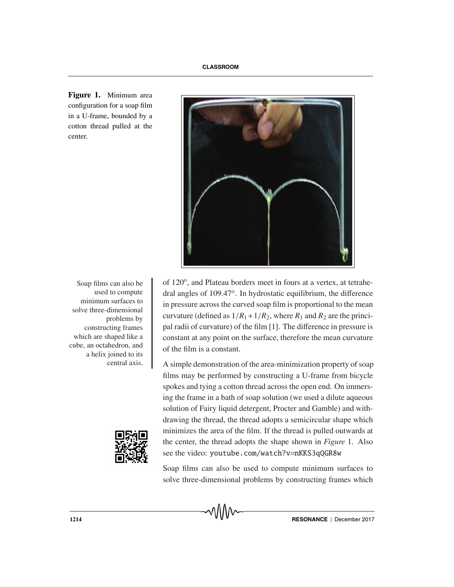

**Figure 1.** Minimum area configuration for a soap film in a U-frame, bounded by a cotton thread pulled at the center.

> Soap films can also be  $\parallel$  of 120 $^{\circ}$ , and Plateau borders meet in fours at a vertex, at tetrahedral angles of 109.47o. In hydrostatic equilibrium, the difference in pressure across the curved soap film is proportional to the mean curvature (defined as  $1/R_1 + 1/R_2$ , where  $R_1$  and  $R_2$  are the principal radii of curvature) of the film [1]. The difference in pressure is constant at any point on the surface, therefore the mean curvature of the film is a constant.

> > A simple demonstration of the area-minimization property of soap films may be performed by constructing a U-frame from bicycle spokes and tying a cotton thread across the open end. On immersing the frame in a bath of soap solution (we used a dilute aqueous solution of Fairy liquid detergent, Procter and Gamble) and withdrawing the thread, the thread adopts a semicircular shape which minimizes the area of the film. If the thread is pulled outwards at the center, the thread adopts the shape shown in *Figure* 1. Also see the video: youtube.com/watch?v=nKKS3qQGR8w

> > Soap films can also be used to compute minimum surfaces to solve three-dimensional problems by constructing frames which

used to compute minimum surfaces to solve three-dimensional problems by constructing frames which are shaped like a cube, an octahedron, and a helix joined to its central axis.

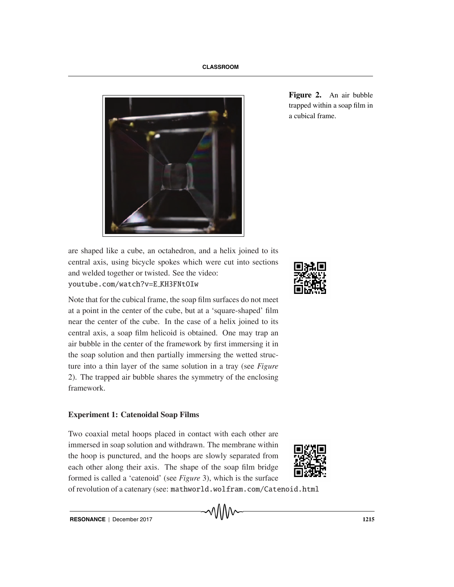

**Figure 2.** An air bubble trapped within a soap film in a cubical frame.

are shaped like a cube, an octahedron, and a helix joined to its central axis, using bicycle spokes which were cut into sections and welded together or twisted. See the video:

Note that for the cubical frame, the soap film surfaces do not meet at a point in the center of the cube, but at a 'square-shaped' film near the center of the cube. In the case of a helix joined to its central axis, a soap film helicoid is obtained. One may trap an air bubble in the center of the framework by first immersing it in the soap solution and then partially immersing the wetted structure into a thin layer of the same solution in a tray (see *Figure* 2). The trapped air bubble shares the symmetry of the enclosing framework.

# **Experiment 1: Catenoidal Soap Films**

 $\mathcal{L}$ 

Two coaxial metal hoops placed in contact with each other are immersed in soap solution and withdrawn. The membrane within the hoop is punctured, and the hoops are slowly separated from each other along their axis. The shape of the soap film bridge formed is called a 'catenoid' (see *Figure* 3), which is the surface

of revolution of a catenary (see: mathworld.wolfram.com/Catenoid.html

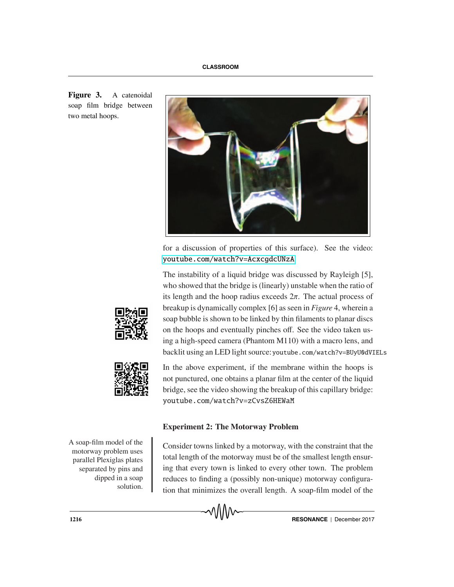**Figure 3.** A catenoidal soap film bridge between two metal hoops.



for a discussion of properties of this surface). See the video: <youtube.com/watch?v=AcxcgdcUNzA>cxcgdcUNzAcxcgdcUNzAcxcgdcUNzAcxcgdcUNzAcxcgdcUNzAcxcgdcUNzAcxcgdcUNzAcxcgdcUNz

The instability of a liquid bridge was discussed by Rayleigh [5], who showed that the bridge is (linearly) unstable when the ratio of its length and the hoop radius exceeds  $2\pi$ . The actual process of breakup is dynamically complex [6] as seen in *Figure* 4, wherein a soap bubble is shown to be linked by thin filaments to planar discs on the hoops and eventually pinches off. See the video taken using a high-speed camera (Phantom M110) with a macro lens, and backlit using an LED light source:youtube.com/watch?v=BUyU0dVIELs





In the above experiment, if the membrane within the hoops is not punctured, one obtains a planar film at the center of the liquid bridge, see the video showing the breakup of this capillary bridge:  $\mathcal{L}$ 

**Experiment 2: The Motorway Problem**

A soap-film model of the motorway problem uses parallel Plexiglas plates separated by pins and dipped in a soap solution.

Consider towns linked by a motorway, with the constraint that the total length of the motorway must be of the smallest length ensuring that every town is linked to every other town. The problem reduces to finding a (possibly non-unique) motorway configuration that minimizes the overall length. A soap-film model of the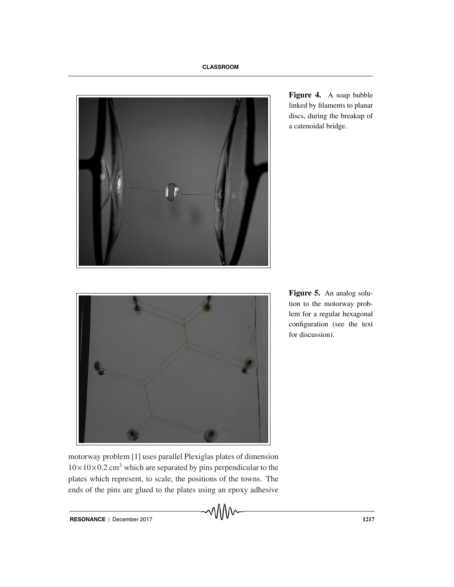

**Figure 4.** A soap bubble linked by filaments to planar discs, during the breakup of a catenoidal bridge.



**Figure 5.** An analog solution to the motorway problem for a regular hexagonal configuration (see the text for discussion).

motorway problem [1] uses parallel Plexiglas plates of dimension  $10\times10\times0.2$  cm<sup>3</sup> which are separated by pins perpendicular to the plates which represent, to scale, the positions of the towns. The ends of the pins are glued to the plates using an epoxy adhesive